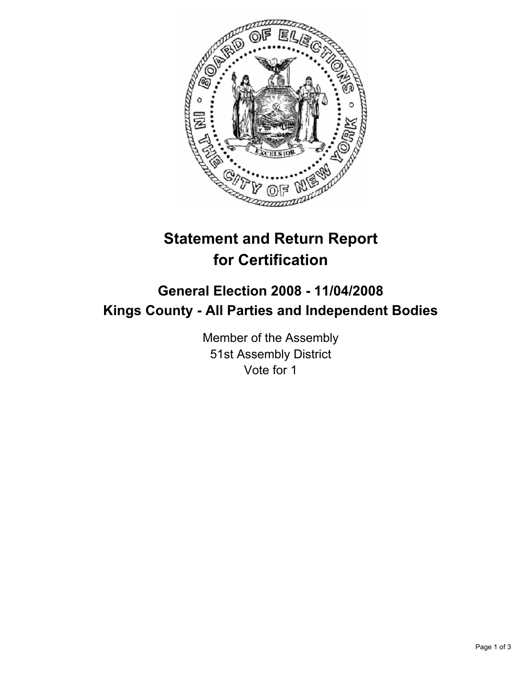

## **Statement and Return Report for Certification**

## **General Election 2008 - 11/04/2008 Kings County - All Parties and Independent Bodies**

Member of the Assembly 51st Assembly District Vote for 1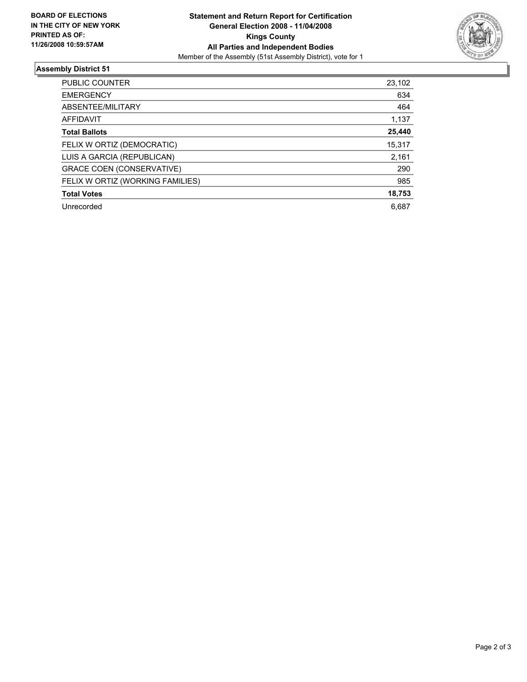

## **Assembly District 51**

| PUBLIC COUNTER                   | 23,102 |
|----------------------------------|--------|
| <b>EMERGENCY</b>                 | 634    |
| ABSENTEE/MILITARY                | 464    |
| AFFIDAVIT                        | 1,137  |
| <b>Total Ballots</b>             | 25,440 |
| FELIX W ORTIZ (DEMOCRATIC)       | 15,317 |
| LUIS A GARCIA (REPUBLICAN)       | 2,161  |
| <b>GRACE COEN (CONSERVATIVE)</b> | 290    |
| FELIX W ORTIZ (WORKING FAMILIES) | 985    |
| <b>Total Votes</b>               | 18,753 |
| Unrecorded                       | 6.687  |